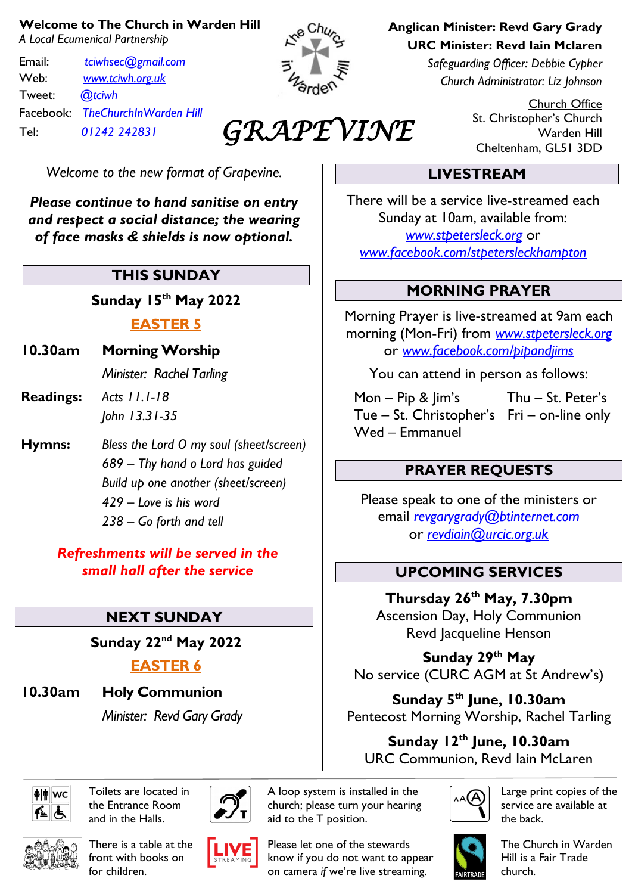#### **Welcome to The Church in Warden Hill**

*A Local Ecumenical Partnership*

Email: *[tciwhsec@gmail.com](mailto:tciwhsec@gmail.com)* Web: *[www.tciwh.org.uk](http://www.tciwh.org.uk/)* Tweet: *@tciwh* Facebook: *TheChurchInWarden Hill* Tel: *01242 242831*



## *GRAPEVINE*

*Welcome to the new format of Grapevine.*

*Please continue to hand sanitise on entry and respect a social distance; the wearing of face masks & shields is now optional.*

#### **THIS SUNDAY**

**Sunday 15th May 2022**

#### **EASTER 5**

**10.30am Morning Worship**

*Minister: Rachel Tarling*

- **Readings:** *Acts 11.1-18 John 13.31-35*
- **Hymns:** *Bless the Lord O my soul (sheet/screen) 689 – Thy hand o Lord has guided Build up one another (sheet/screen) 429 – Love is his word 238 – Go forth and tell*

*Refreshments will be served in the small hall after the service*

## **NEXT SUNDAY**

**Sunday 22nd May 2022**

## **EASTER 6**

**10.30am Holy Communion**

*Minister: Revd Gary Grady*

# ∣**≱∣**†∥wc

Toilets are located in the Entrance Room and in the Halls.



There is a table at the front with books on for children.





Please let one of the stewards know if you do not want to appear on camera *if* we're live streaming.

A loop system is installed in the church; please turn your hearing

**Anglican Minister: Revd Gary Grady URC Minister: Revd Iain Mclaren**

> *Safeguarding Officer: Debbie Cypher Church Administrator: Liz Johnson*

> > Church Office St. Christopher's Church Warden Hill Cheltenham, GL51 3DD

## **LIVESTREAM**

There will be a service live-streamed each Sunday at 10am, available from: *[www.stpetersleck.org](http://www.stpetersleck.org/)* or *[www.facebook.com/stpetersleckhampton](http://www.facebook.com/stpetersleckhampton)*

#### **MORNING PRAYER**

Morning Prayer is live-streamed at 9am each morning (Mon-Fri) from *[www.stpetersleck.org](http://www.stpetersleck.org/)* or *[www.facebook.com/pipandjims](http://www.facebook.com/pipandjims)*

You can attend in person as follows:

 Mon – Pip & Jim's Thu – St. Peter's Tue – St. Christopher's Fri – on-line only Wed – Emmanuel

#### **PRAYER REQUESTS**

Please speak to one of the ministers or email *[revgarygrady@btinternet.com](mailto:revgarygrady@btinternet.com)* or *[revdiain@urcic.org.uk](mailto:revdiain@urcic.org.uk)*

#### **UPCOMING SERVICES**

**Thursday 26th May, 7.30pm** Ascension Day, Holy Communion Revd Jacqueline Henson

**Sunday 29 th May** No service (CURC AGM at St Andrew's)

**Sunday 5 th June, 10.30am** Pentecost Morning Worship, Rachel Tarling

**Sunday 12th June, 10.30am** URC Communion, Revd Iain McLaren



Large print copies of the service are available at the back.



The Church in Warden Hill is a Fair Trade church.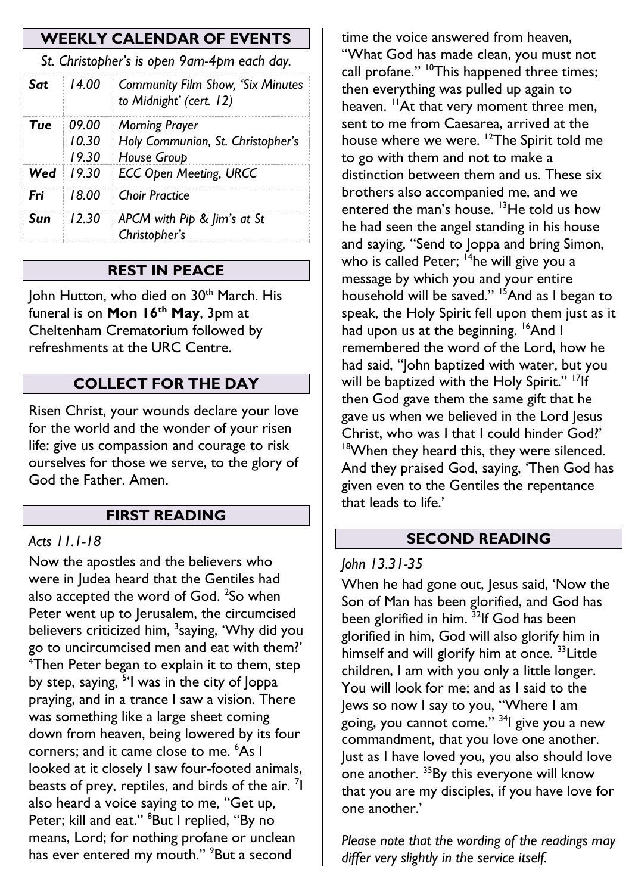#### **WEEKLY CALENDAR OF EVENTS**

*St. Christopher's is open 9am-4pm each day.*

| Sat | 14.00            | <b>Community Film Show, 'Six Minutes</b><br>to Midnight' (cert. 12)             |
|-----|------------------|---------------------------------------------------------------------------------|
| Tue | 09.00<br>10.30   | <b>Morning Prayer</b><br>Holy Communion, St. Christopher's<br>19.30 House Group |
|     | <b>Wed</b> 19.30 | <b>ECC Open Meeting, URCC</b>                                                   |
| Fri |                  | 18.00 Choir Practice                                                            |
| Sun | 12.30            | APCM with Pip & Jim's at St<br>Christopher's                                    |

#### **REST IN PEACE**

John Hutton, who died on 30<sup>th</sup> March. His funeral is on **Mon 16th May**, 3pm at Cheltenham Crematorium followed by refreshments at the URC Centre.

#### **COLLECT FOR THE DAY**

Risen Christ, your wounds declare your love for the world and the wonder of your risen life: give us compassion and courage to risk ourselves for those we serve, to the glory of God the Father. Amen.

#### **FIRST READING**

#### *Acts 11.1-18*

Now the apostles and the believers who were in Judea heard that the Gentiles had also accepted the word of God.  $^{2}$ So when Peter went up to Jerusalem, the circumcised believers criticized him, <sup>3</sup>saying, 'Why did you go to uncircumcised men and eat with them?' <sup>4</sup>Then Peter began to explain it to them, step by step, saying, <sup>5</sup>'l was in the city of Joppa praying, and in a trance I saw a vision. There was something like a large sheet coming down from heaven, being lowered by its four corners; and it came close to me. <sup>6</sup>As I looked at it closely I saw four-footed animals, beasts of prey, reptiles, and birds of the air.  $\frac{7}{1}$ also heard a voice saying to me, "Get up, Peter; kill and eat." <sup>8</sup>But I replied, "By no means, Lord; for nothing profane or unclean has ever entered my mouth." <sup>9</sup>But a second

time the voice answered from heaven, "What God has made clean, you must not call profane." <sup>10</sup>This happened three times; then everything was pulled up again to heaven. <sup>11</sup>At that very moment three men, sent to me from Caesarea, arrived at the house where we were. <sup>12</sup>The Spirit told me to go with them and not to make a distinction between them and us. These six brothers also accompanied me, and we entered the man's house.  $13$ He told us how he had seen the angel standing in his house and saying, "Send to Joppa and bring Simon, who is called Peter; <sup>14</sup>he will give you a message by which you and your entire household will be saved." <sup>15</sup>And as I began to speak, the Holy Spirit fell upon them just as it had upon us at the beginning. <sup>16</sup>And I remembered the word of the Lord, how he had said, "John baptized with water, but you will be baptized with the Holy Spirit." <sup>17</sup>If then God gave them the same gift that he gave us when we believed in the Lord Jesus Christ, who was I that I could hinder God?' <sup>18</sup>When they heard this, they were silenced. And they praised God, saying, 'Then God has given even to the Gentiles the repentance that leads to life.'

#### **SECOND READING**

#### *John 13.31-35*

When he had gone out, Jesus said, 'Now the Son of Man has been glorified, and God has been glorified in him. <sup>32</sup>If God has been glorified in him, God will also glorify him in himself and will glorify him at once.<sup>33</sup> Little children, I am with you only a little longer. You will look for me; and as I said to the Jews so now I say to you, "Where I am going, you cannot come." <sup>34</sup>I give you a new commandment, that you love one another. Just as I have loved you, you also should love one another. <sup>35</sup>By this everyone will know that you are my disciples, if you have love for one another.'

*Please note that the wording of the readings may differ very slightly in the service itself.*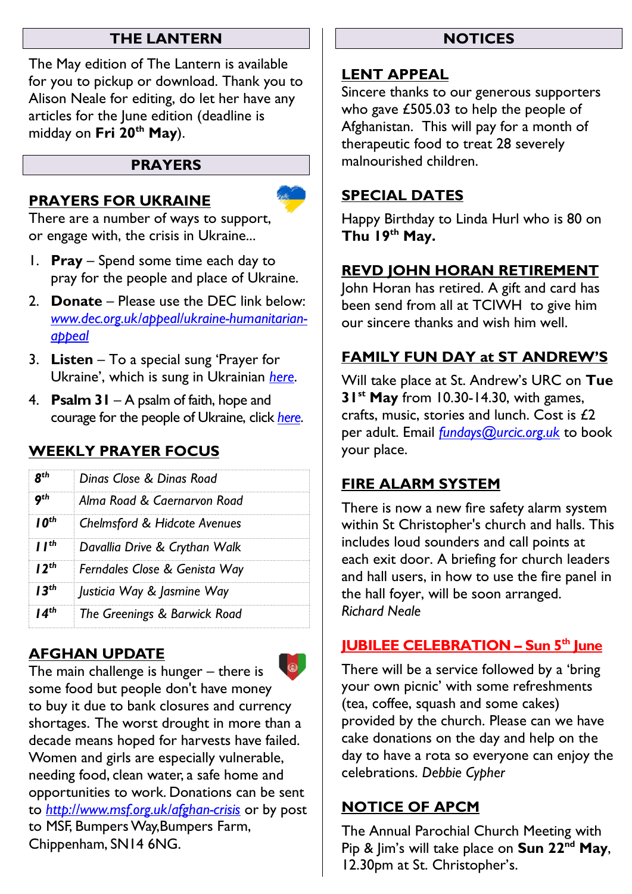#### **THE LANTERN**

The May edition of The Lantern is available for you to pickup or download. Thank you to Alison Neale for editing, do let her have any articles for the June edition (deadline is midday on **Fri 20th May**).

#### **PRAYERS**

#### **PRAYERS FOR UKRAINE**

There are a number of ways to support, or engage with, the crisis in Ukraine...

- 1. **Pray** Spend some time each day to pray for the people and place of Ukraine.
- 2. **Donate** Please use the DEC link below: *[www.dec.org.uk/appeal/ukraine-humanitarian](http://www.dec.org.uk/appeal/ukraine-humanitarian-appeal)[appeal](http://www.dec.org.uk/appeal/ukraine-humanitarian-appeal)*
- 3. **Listen** To a special sung 'Prayer for Ukraine', which is sung in Ukrainian *[here](https://stpetersleck.org/wp-content/uploads/2022/03/Prayer-for-Ukraine_St-Peters-Choir_MP3.mp3)*.
- 4. **Psalm 31** A psalm of faith, hope and courage for the people of Ukraine, click *[here](https://stpetersleck.org/psalm_31_ukraine-720p/)*.

## **WEEKLY PRAYER FOCUS**

| Dinas Close & Dinas Road                |  |
|-----------------------------------------|--|
| Alma Road & Caernarvon Road             |  |
| <b>Chelmsford &amp; Hidcote Avenues</b> |  |
| Davallia Drive & Crythan Walk           |  |
| Ferndales Close & Genista Way           |  |
| Justicia Way & Jasmine Way              |  |
| The Greenings & Barwick Road            |  |
|                                         |  |

## **AFGHAN UPDATE**



The main challenge is hunger – there is some food but people don't have money to buy it due to bank closures and currency shortages. The worst drought in more than a decade means hoped for harvests have failed. Women and girls are especially vulnerable, needing food, clean water, a safe home and opportunities to work. Donations can be sent to *<http://www.msf.org.uk/afghan-crisis>* or by post to MSF, Bumpers Way,Bumpers Farm, Chippenham, SN14 6NG.

#### **NOTICES**

#### **LENT APPEAL**

Sincere thanks to our generous supporters who gave £505.03 to help the people of Afghanistan. This will pay for a month of therapeutic food to treat 28 severely malnourished children.

#### **SPECIAL DATES**

Happy Birthday to Linda Hurl who is 80 on **Thu 19th May.**

## **REVD JOHN HORAN RETIREMENT**

John Horan has retired. A gift and card has been send from all at TCIWH to give him our sincere thanks and wish him well.

## **FAMILY FUN DAY at ST ANDREW'S**

Will take place at St. Andrew's URC on **Tue 31st May** from 10.30-14.30, with games, crafts, music, stories and lunch. Cost is  $£2$ per adult. Email *[fundays@urcic.org.uk](mailto:fundays@urcic.org.uk)* to book your place.

## **FIRE ALARM SYSTEM**

There is now a new fire safety alarm system within St Christopher's church and halls. This includes loud sounders and call points at each exit door. A briefing for church leaders and hall users, in how to use the fire panel in the hall foyer, will be soon arranged. *Richard Neale*

## **JUBILEE CELEBRATION – Sun 5th June**

There will be a service followed by a 'bring your own picnic' with some refreshments (tea, coffee, squash and some cakes) provided by the church. Please can we have cake donations on the day and help on the day to have a rota so everyone can enjoy the celebrations. *Debbie Cypher*

## **NOTICE OF APCM**

The Annual Parochial Church Meeting with Pip & Jim's will take place on **Sun 22nd May**, 12.30pm at St. Christopher's.